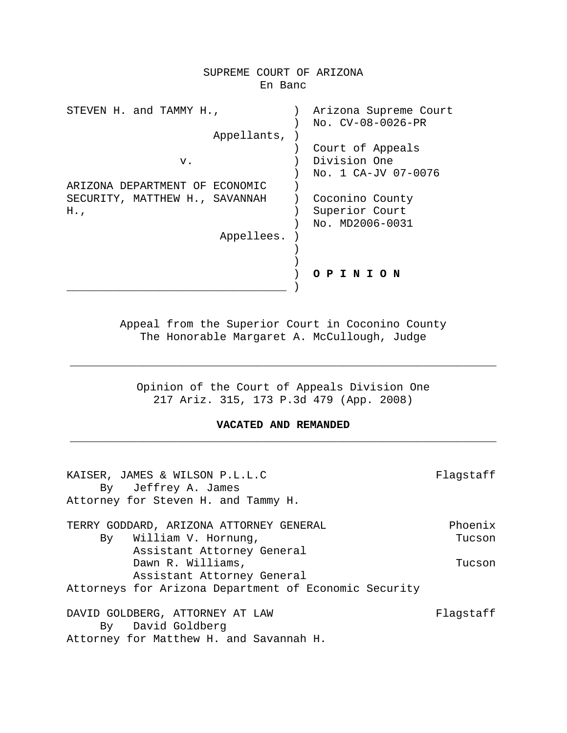| SUPREME COURT OF ARIZONA<br>En Banc  |  |                                                         |  |
|--------------------------------------|--|---------------------------------------------------------|--|
|                                      |  |                                                         |  |
| STEVEN H. and TAMMY H.,              |  | Arizona Supreme Court<br>No. CV-08-0026-PR              |  |
| Appellants,                          |  |                                                         |  |
| v.                                   |  | Court of Appeals<br>Division One<br>No. 1 CA-JV 07-0076 |  |
| ARIZONA DEPARTMENT OF ECONOMIC       |  |                                                         |  |
| SECURITY, MATTHEW H., SAVANNAH<br>H. |  | Coconino County<br>Superior Court<br>No. MD2006-0031    |  |
| Appellees.                           |  |                                                         |  |
|                                      |  |                                                         |  |
|                                      |  | PINION                                                  |  |
|                                      |  |                                                         |  |

Appeal from the Superior Court in Coconino County The Honorable Margaret A. McCullough, Judge

Opinion of the Court of Appeals Division One 217 Ariz. 315, 173 P.3d 479 (App. 2008)

\_\_\_\_\_\_\_\_\_\_\_\_\_\_\_\_\_\_\_\_\_\_\_\_\_\_\_\_\_\_\_\_\_\_\_\_\_\_\_\_\_\_\_\_\_\_\_\_\_\_\_\_\_\_\_\_\_\_\_\_\_\_\_\_

# **VACATED AND REMANDED** \_\_\_\_\_\_\_\_\_\_\_\_\_\_\_\_\_\_\_\_\_\_\_\_\_\_\_\_\_\_\_\_\_\_\_\_\_\_\_\_\_\_\_\_\_\_\_\_\_\_\_\_\_\_\_\_\_\_\_\_\_\_\_\_

| KAISER, JAMES & WILSON P.L.L.C                          | Flagstaff |
|---------------------------------------------------------|-----------|
| By Jeffrey A. James                                     |           |
| Attorney for Steven H. and Tammy H.                     |           |
| TERRY GODDARD, ARIZONA ATTORNEY GENERAL                 | Phoenix   |
| By William V. Hornung,                                  | Tucson    |
| Assistant Attorney General                              |           |
| Dawn R. Williams,                                       | Tucson    |
| Assistant Attorney General                              |           |
| Attorneys for Arizona Department of Economic Security   |           |
| DAVID GOLDBERG, ATTORNEY AT LAW<br>David Goldberg<br>Bv | Flaqstaff |
| Attorney for Matthew H. and Savannah H.                 |           |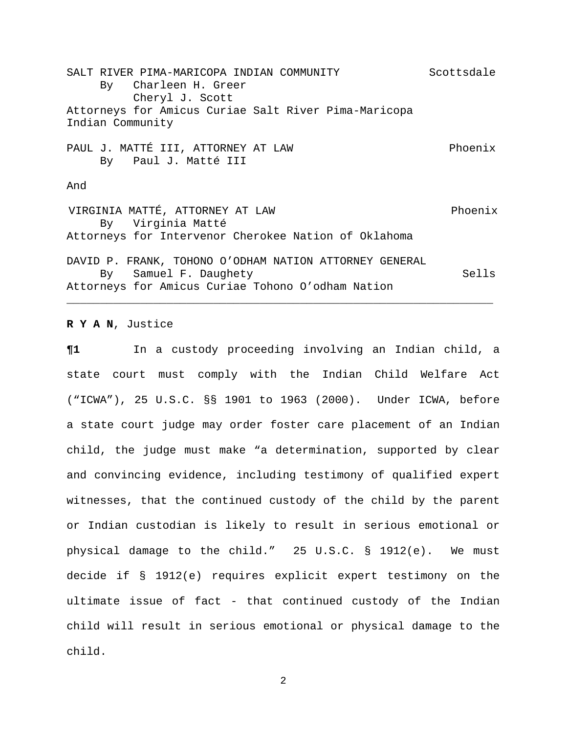SALT RIVER PIMA-MARICOPA INDIAN COMMUNITY SCOTTSdale By Charleen H. Greer Cheryl J. Scott Attorneys for Amicus Curiae Salt River Pima-Maricopa Indian Community PAUL J. MATTÉ III, ATTORNEY AT LAW PHOENIX By Paul J. Matté III And VIRGINIA MATTÉ, ATTORNEY AT LAW Phoenix By Virginia Matté Attorneys for Intervenor Cherokee Nation of Oklahoma DAVID P. FRANK, TOHONO O'ODHAM NATION ATTORNEY GENERAL By Samuel F. Daughety Sells Attorneys for Amicus Curiae Tohono O'odham Nation \_\_\_\_\_\_\_\_\_\_\_\_\_\_\_\_\_\_\_\_\_\_\_\_\_\_\_\_\_\_\_\_\_\_\_\_\_\_\_\_\_\_\_\_\_\_\_\_\_\_\_\_\_\_\_\_\_\_\_\_\_\_\_\_

**R Y A N**, Justice

**¶1** In a custody proceeding involving an Indian child, a state court must comply with the Indian Child Welfare Act ("ICWA"), 25 U.S.C. §§ 1901 to 1963 (2000). Under ICWA, before a state court judge may order foster care placement of an Indian child, the judge must make "a determination, supported by clear and convincing evidence, including testimony of qualified expert witnesses, that the continued custody of the child by the parent or Indian custodian is likely to result in serious emotional or physical damage to the child." 25 U.S.C. § 1912(e). We must decide if § 1912(e) requires explicit expert testimony on the ultimate issue of fact - that continued custody of the Indian child will result in serious emotional or physical damage to the child.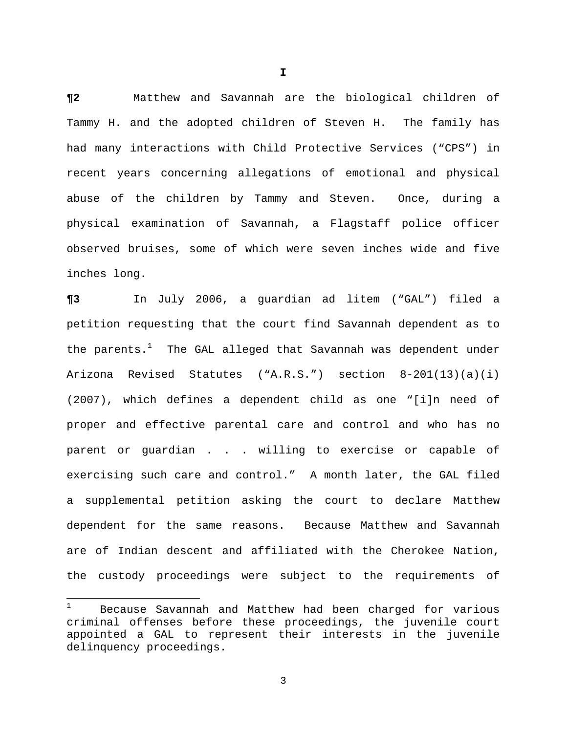**¶2** Matthew and Savannah are the biological children of Tammy H. and the adopted children of Steven H. The family has had many interactions with Child Protective Services ("CPS") in recent years concerning allegations of emotional and physical abuse of the children by Tammy and Steven. Once, during a physical examination of Savannah, a Flagstaff police officer observed bruises, some of which were seven inches wide and five inches long.

**¶3** In July 2006, a guardian ad litem ("GAL") filed a petition requesting that the court find Savannah dependent as to the parents. $^1$  The GAL alleged that Savannah was dependent under Arizona Revised Statutes ("A.R.S.") section 8-201(13)(a)(i) (2007), which defines a dependent child as one "[i]n need of proper and effective parental care and control and who has no parent or guardian . . . willing to exercise or capable of exercising such care and control." A month later, the GAL filed a supplemental petition asking the court to declare Matthew dependent for the same reasons. Because Matthew and Savannah are of Indian descent and affiliated with the Cherokee Nation, the custody proceedings were subject to the requirements of

i

<sup>1</sup> Because Savannah and Matthew had been charged for various criminal offenses before these proceedings, the juvenile court appointed a GAL to represent their interests in the juvenile delinquency proceedings.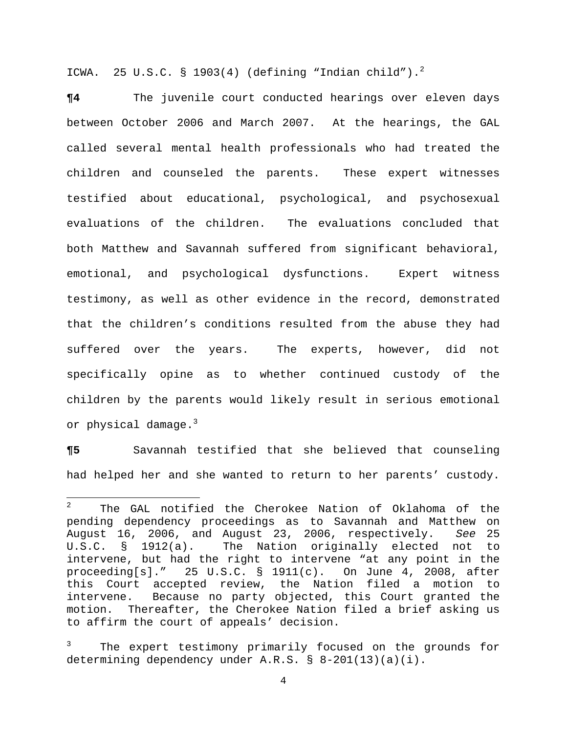ICWA. 25 U.S.C. § 1903(4) (defining "Indian child"). $^2$ 

**¶4** The juvenile court conducted hearings over eleven days between October 2006 and March 2007. At the hearings, the GAL called several mental health professionals who had treated the children and counseled the parents. These expert witnesses testified about educational, psychological, and psychosexual evaluations of the children. The evaluations concluded that both Matthew and Savannah suffered from significant behavioral, emotional, and psychological dysfunctions. Expert witness testimony, as well as other evidence in the record, demonstrated that the children's conditions resulted from the abuse they had suffered over the years. The experts, however, did not specifically opine as to whether continued custody of the children by the parents would likely result in serious emotional or physical damage.<sup>3</sup>

**¶5** Savannah testified that she believed that counseling had helped her and she wanted to return to her parents' custody.

 $\overline{2}$  The GAL notified the Cherokee Nation of Oklahoma of the pending dependency proceedings as to Savannah and Matthew on August 16, 2006, and August 23, 2006, respectively. *See* 25 U.S.C. § 1912(a). The Nation originally elected not to intervene, but had the right to intervene "at any point in the proceeding[s]." 25 U.S.C. § 1911(c). On June 4, 2008, after this Court accepted review, the Nation filed a motion to intervene. Because no party objected, this Court granted the motion. Thereafter, the Cherokee Nation filed a brief asking us to affirm the court of appeals' decision.

<sup>3</sup> The expert testimony primarily focused on the grounds for determining dependency under A.R.S. § 8-201(13)(a)(i).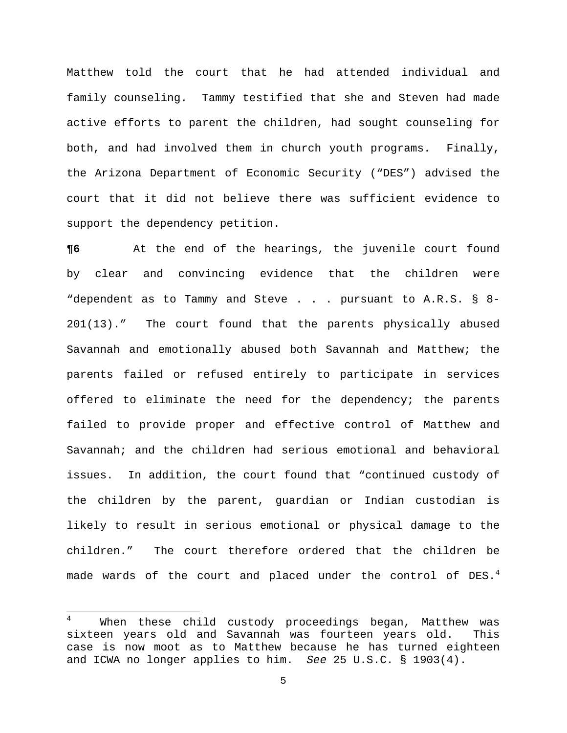Matthew told the court that he had attended individual and family counseling. Tammy testified that she and Steven had made active efforts to parent the children, had sought counseling for both, and had involved them in church youth programs.Finally, the Arizona Department of Economic Security ("DES") advised the court that it did not believe there was sufficient evidence to support the dependency petition.

**¶6** At the end of the hearings, the juvenile court found by clear and convincing evidence that the children were "dependent as to Tammy and Steve . . . pursuant to A.R.S. § 8-201(13)." The court found that the parents physically abused Savannah and emotionally abused both Savannah and Matthew; the parents failed or refused entirely to participate in services offered to eliminate the need for the dependency; the parents failed to provide proper and effective control of Matthew and Savannah; and the children had serious emotional and behavioral issues. In addition, the court found that "continued custody of the children by the parent, guardian or Indian custodian is likely to result in serious emotional or physical damage to the children." The court therefore ordered that the children be made wards of the court and placed under the control of DES. $^4$ 

i

<sup>4</sup> When these child custody proceedings began, Matthew was sixteen years old and Savannah was fourteen years old. This case is now moot as to Matthew because he has turned eighteen and ICWA no longer applies to him. *See* 25 U.S.C. § 1903(4).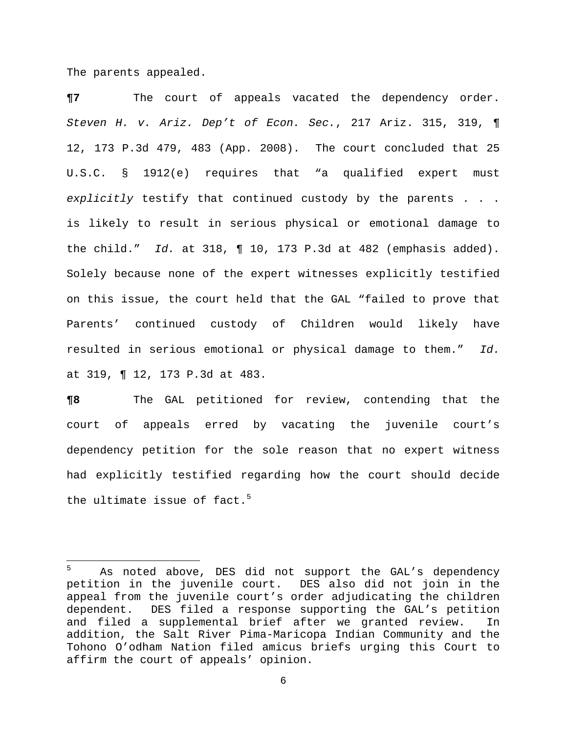The parents appealed.

i

**¶7** The court of appeals vacated the dependency order. *Steven H. v. Ariz. Dep't of Econ. Sec.*, 217 Ariz. 315, 319, ¶ 12, 173 P.3d 479, 483 (App. 2008). The court concluded that 25 U.S.C. § 1912(e) requires that "a qualified expert must *explicitly* testify that continued custody by the parents . . . is likely to result in serious physical or emotional damage to the child." *Id.* at 318, ¶ 10, 173 P.3d at 482 (emphasis added). Solely because none of the expert witnesses explicitly testified on this issue, the court held that the GAL "failed to prove that Parents' continued custody of Children would likely have resulted in serious emotional or physical damage to them." *Id.*  at 319, ¶ 12, 173 P.3d at 483.

**¶8** The GAL petitioned for review, contending that the court of appeals erred by vacating the juvenile court's dependency petition for the sole reason that no expert witness had explicitly testified regarding how the court should decide the ultimate issue of fact. $^5$ 

<sup>5</sup> As noted above, DES did not support the GAL's dependency petition in the juvenile court. DES also did not join in the appeal from the juvenile court's order adjudicating the children dependent. DES filed a response supporting the GAL's petition and filed a supplemental brief after we granted review. In addition, the Salt River Pima-Maricopa Indian Community and the Tohono O'odham Nation filed amicus briefs urging this Court to affirm the court of appeals' opinion.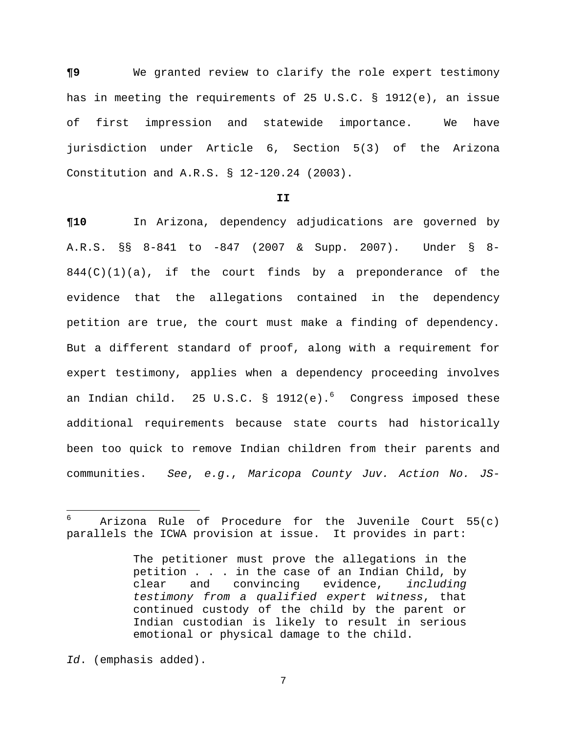**¶9** We granted review to clarify the role expert testimony has in meeting the requirements of 25 U.S.C. § 1912(e), an issue of first impression and statewide importance. We have jurisdiction under Article 6, Section 5(3) of the Arizona Constitution and A.R.S. § 12-120.24 (2003).

#### **II**

**¶10** In Arizona, dependency adjudications are governed by A.R.S. §§ 8-841 to -847 (2007 & Supp. 2007). Under § 8-  $844(C)(1)(a)$ , if the court finds by a preponderance of the evidence that the allegations contained in the dependency petition are true, the court must make a finding of dependency. But a different standard of proof, along with a requirement for expert testimony, applies when a dependency proceeding involves an Indian child.  $\,$  25 U.S.C. § 1912(e). $^{\circ}$  Congress imposed these additional requirements because state courts had historically been too quick to remove Indian children from their parents and communities. *See*, *e.g*., *Maricopa County Juv. Action No. JS-*

i

<sup>6</sup> Arizona Rule of Procedure for the Juvenile Court 55(c) parallels the ICWA provision at issue. It provides in part:

The petitioner must prove the allegations in the petition . . . in the case of an Indian Child, by clear and convincing evidence, *including testimony from a qualified expert witness*, that continued custody of the child by the parent or Indian custodian is likely to result in serious emotional or physical damage to the child.

*Id*. (emphasis added).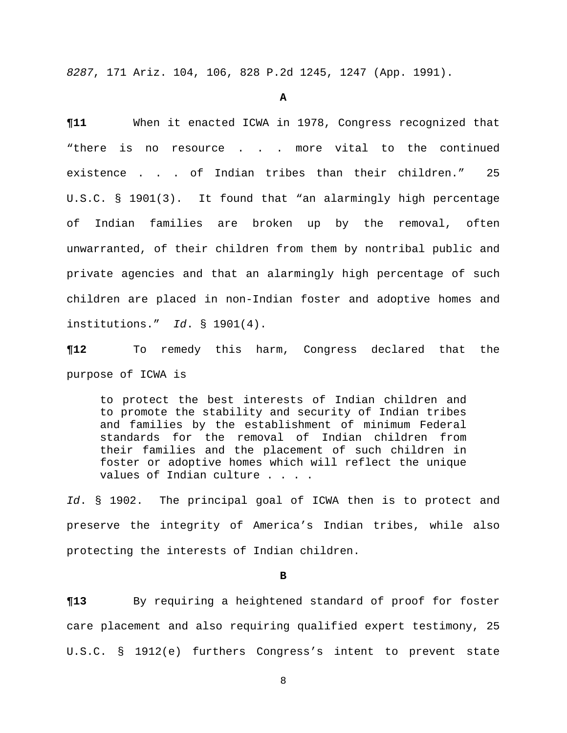*8287*, 171 Ariz. 104, 106, 828 P.2d 1245, 1247 (App. 1991).

#### **A**

**¶11** When it enacted ICWA in 1978, Congress recognized that "there is no resource . . . more vital to the continued existence . . . of Indian tribes than their children." 25 U.S.C. § 1901(3). It found that "an alarmingly high percentage of Indian families are broken up by the removal, often unwarranted, of their children from them by nontribal public and private agencies and that an alarmingly high percentage of such children are placed in non-Indian foster and adoptive homes and institutions." *Id*. § 1901(4).

**¶12** To remedy this harm, Congress declared that the purpose of ICWA is

to protect the best interests of Indian children and to promote the stability and security of Indian tribes and families by the establishment of minimum Federal standards for the removal of Indian children from their families and the placement of such children in foster or adoptive homes which will reflect the unique values of Indian culture . . . .

*Id*. § 1902. The principal goal of ICWA then is to protect and preserve the integrity of America's Indian tribes, while also protecting the interests of Indian children.

**B** 

**¶13** By requiring a heightened standard of proof for foster care placement and also requiring qualified expert testimony, 25 U.S.C. § 1912(e) furthers Congress's intent to prevent state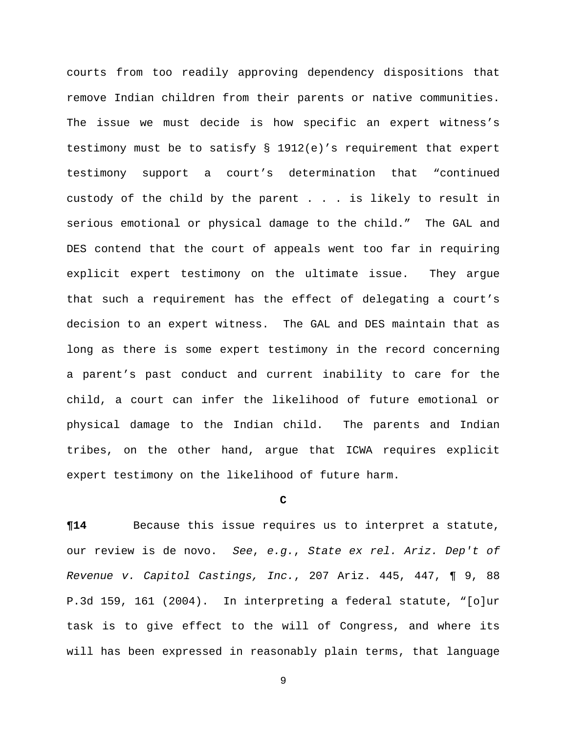courts from too readily approving dependency dispositions that remove Indian children from their parents or native communities. The issue we must decide is how specific an expert witness's testimony must be to satisfy § 1912(e)'s requirement that expert testimony support a court's determination that "continued custody of the child by the parent . . . is likely to result in serious emotional or physical damage to the child." The GAL and DES contend that the court of appeals went too far in requiring explicit expert testimony on the ultimate issue. They argue that such a requirement has the effect of delegating a court's decision to an expert witness. The GAL and DES maintain that as long as there is some expert testimony in the record concerning a parent's past conduct and current inability to care for the child, a court can infer the likelihood of future emotional or physical damage to the Indian child. The parents and Indian tribes, on the other hand, argue that ICWA requires explicit expert testimony on the likelihood of future harm.

# **C**

**¶14** Because this issue requires us to interpret a statute, our review is de novo. *See*, *e.g.*, *State ex rel. Ariz. Dep't of Revenue v. Capitol Castings, Inc.*, 207 Ariz. 445, 447, ¶ 9, 88 P.3d 159, 161 (2004). In interpreting a federal statute, "[o]ur task is to give effect to the will of Congress, and where its will has been expressed in reasonably plain terms, that language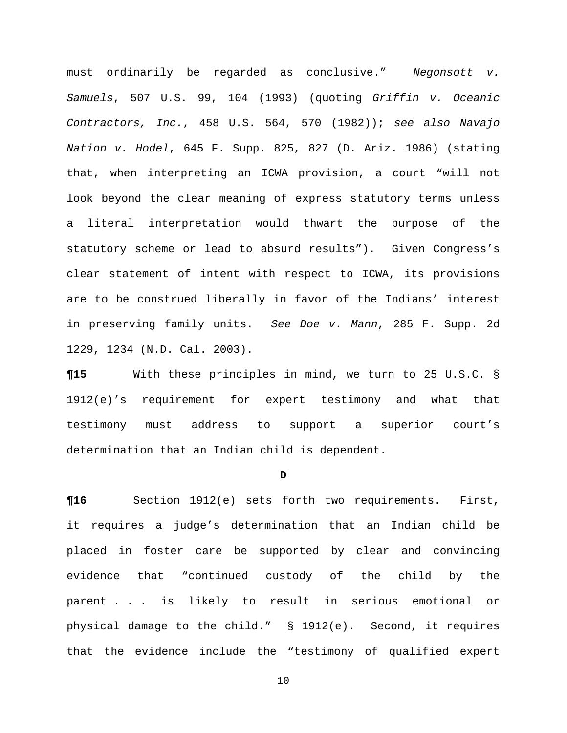must ordinarily be regarded as conclusive." *Negonsott v. Samuels*, 507 U.S. 99, 104 (1993) (quoting *Griffin v. Oceanic Contractors, Inc.*, 458 U.S. 564, 570 (1982)); *see also Navajo Nation v. Hodel*, 645 F. Supp. 825, 827 (D. Ariz. 1986) (stating that, when interpreting an ICWA provision, a court "will not look beyond the clear meaning of express statutory terms unless a literal interpretation would thwart the purpose of the statutory scheme or lead to absurd results"). Given Congress's clear statement of intent with respect to ICWA, its provisions are to be construed liberally in favor of the Indians' interest in preserving family units. *See Doe v. Mann*, 285 F. Supp. 2d 1229, 1234 (N.D. Cal. 2003).

**¶15** With these principles in mind, we turn to 25 U.S.C. § 1912(e)'s requirement for expert testimony and what that testimony must address to support a superior court's determination that an Indian child is dependent.

## **D**

**¶16** Section 1912(e) sets forth two requirements. First, it requires a judge's determination that an Indian child be placed in foster care be supported by clear and convincing evidence that "continued custody of the child by the parent . . . is likely to result in serious emotional or physical damage to the child." § 1912(e). Second, it requires that the evidence include the "testimony of qualified expert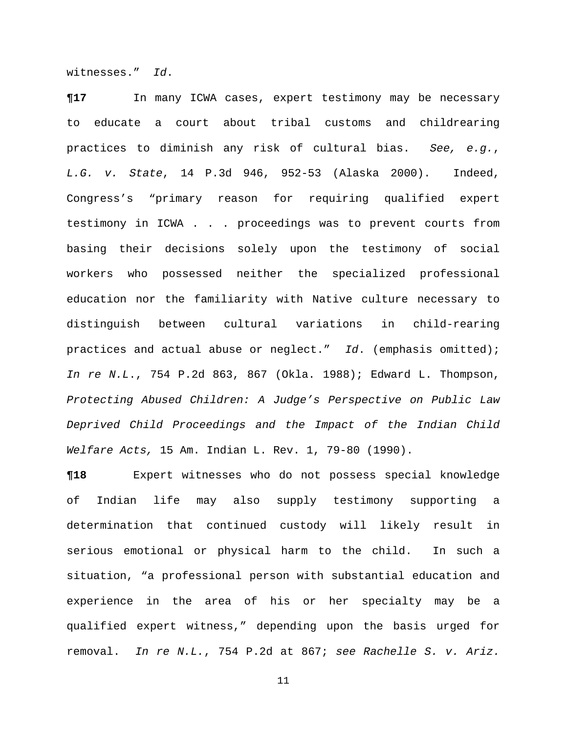witnesses." *Id*.

**¶17** In many ICWA cases, expert testimony may be necessary to educate a court about tribal customs and childrearing practices to diminish any risk of cultural bias. *See, e.g.*, *L.G. v. State*, 14 P.3d 946, 952-53 (Alaska 2000). Indeed, Congress's "primary reason for requiring qualified expert testimony in ICWA . . . proceedings was to prevent courts from basing their decisions solely upon the testimony of social workers who possessed neither the specialized professional education nor the familiarity with Native culture necessary to distinguish between cultural variations in child-rearing practices and actual abuse or neglect." *Id*. (emphasis omitted); *In re N.L*., 754 P.2d 863, 867 (Okla. 1988); Edward L. Thompson, *Protecting Abused Children: A Judge's Perspective on Public Law Deprived Child Proceedings and the Impact of the Indian Child Welfare Acts,* 15 Am. Indian L. Rev. 1, 79-80 (1990).

**¶18** Expert witnesses who do not possess special knowledge of Indian life may also supply testimony supporting a determination that continued custody will likely result in serious emotional or physical harm to the child. In such a situation, "a professional person with substantial education and experience in the area of his or her specialty may be a qualified expert witness," depending upon the basis urged for removal. *In re N.L.*, 754 P.2d at 867; *see Rachelle S. v. Ariz.*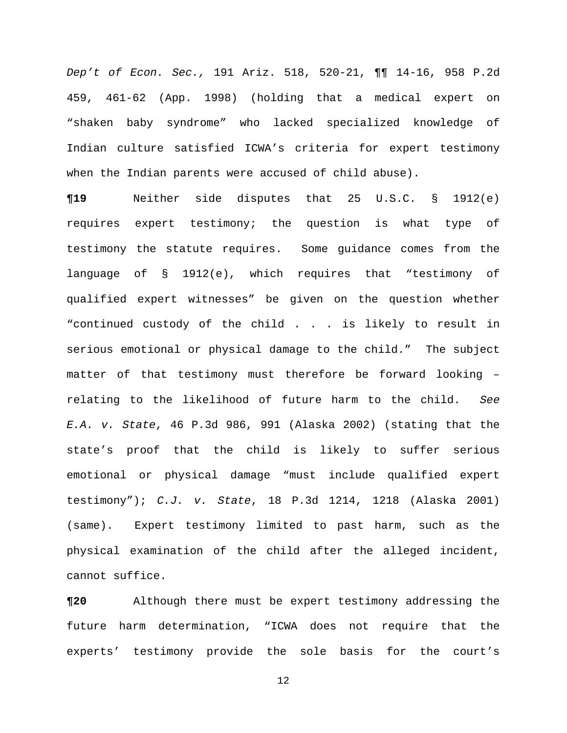*Dep't of Econ. Sec.,* 191 Ariz. 518, 520-21, ¶¶ 14-16, 958 P.2d 459, 461-62 (App. 1998) (holding that a medical expert on "shaken baby syndrome" who lacked specialized knowledge of Indian culture satisfied ICWA's criteria for expert testimony when the Indian parents were accused of child abuse).

**¶19** Neither side disputes that 25 U.S.C. § 1912(e) requires expert testimony; the question is what type of testimony the statute requires. Some guidance comes from the language of § 1912(e), which requires that "testimony of qualified expert witnesses" be given on the question whether "continued custody of the child . . . is likely to result in serious emotional or physical damage to the child." The subject matter of that testimony must therefore be forward looking – relating to the likelihood of future harm to the child. *See E.A. v. State*, 46 P.3d 986, 991 (Alaska 2002) (stating that the state's proof that the child is likely to suffer serious emotional or physical damage "must include qualified expert testimony"); *C.J. v. State*, 18 P.3d 1214, 1218 (Alaska 2001) (same). Expert testimony limited to past harm, such as the physical examination of the child after the alleged incident, cannot suffice.

**¶20** Although there must be expert testimony addressing the future harm determination, "ICWA does not require that the experts' testimony provide the sole basis for the court's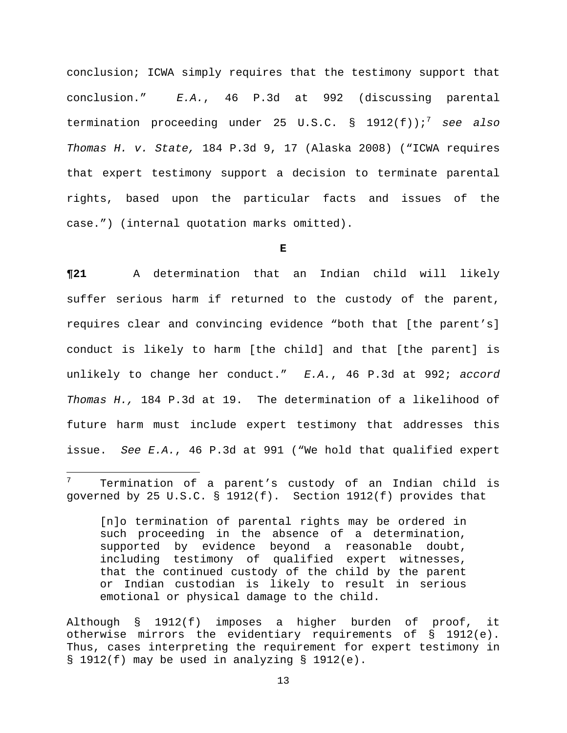conclusion; ICWA simply requires that the testimony support that conclusion." *E.A.*, 46 P.3d at 992 (discussing parental termination proceeding under 25 U.S.C. § 1912(f));<sup>7</sup> *see also Thomas H. v. State,* 184 P.3d 9, 17 (Alaska 2008) ("ICWA requires that expert testimony support a decision to terminate parental rights, based upon the particular facts and issues of the case.") (internal quotation marks omitted).

**E** 

**¶21** A determination that an Indian child will likely suffer serious harm if returned to the custody of the parent, requires clear and convincing evidence "both that [the parent's] conduct is likely to harm [the child] and that [the parent] is unlikely to change her conduct." *E.A.*, 46 P.3d at 992; *accord Thomas H.,* 184 P.3d at 19. The determination of a likelihood of future harm must include expert testimony that addresses this issue. *See E.A.*, 46 P.3d at 991 ("We hold that qualified expert

i

[n]o termination of parental rights may be ordered in such proceeding in the absence of a determination, supported by evidence beyond a reasonable doubt, including testimony of qualified expert witnesses, that the continued custody of the child by the parent or Indian custodian is likely to result in serious emotional or physical damage to the child.

Although § 1912(f) imposes a higher burden of proof, it otherwise mirrors the evidentiary requirements of § 1912(e). Thus, cases interpreting the requirement for expert testimony in § 1912(f) may be used in analyzing § 1912(e).

<sup>7</sup> Termination of a parent's custody of an Indian child is governed by 25 U.S.C. § 1912(f). Section 1912(f) provides that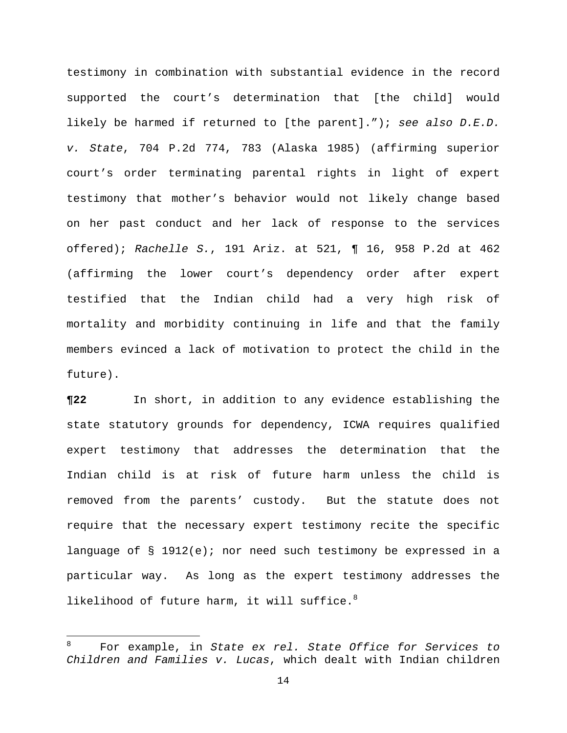testimony in combination with substantial evidence in the record supported the court's determination that [the child] would likely be harmed if returned to [the parent]."); *see also D.E.D. v. State*, 704 P.2d 774, 783 (Alaska 1985) (affirming superior court's order terminating parental rights in light of expert testimony that mother's behavior would not likely change based on her past conduct and her lack of response to the services offered); *Rachelle S.*, 191 Ariz. at 521, ¶ 16, 958 P.2d at 462 (affirming the lower court's dependency order after expert testified that the Indian child had a very high risk of mortality and morbidity continuing in life and that the family members evinced a lack of motivation to protect the child in the future).

**¶22** In short, in addition to any evidence establishing the state statutory grounds for dependency, ICWA requires qualified expert testimony that addresses the determination that the Indian child is at risk of future harm unless the child is removed from the parents' custody. But the statute does not require that the necessary expert testimony recite the specific language of § 1912(e); nor need such testimony be expressed in a particular way. As long as the expert testimony addresses the likelihood of future harm, it will suffice. $8$ 

i<br>L

<sup>8</sup> For example, in *State ex rel. State Office for Services to Children and Families v. Lucas*, which dealt with Indian children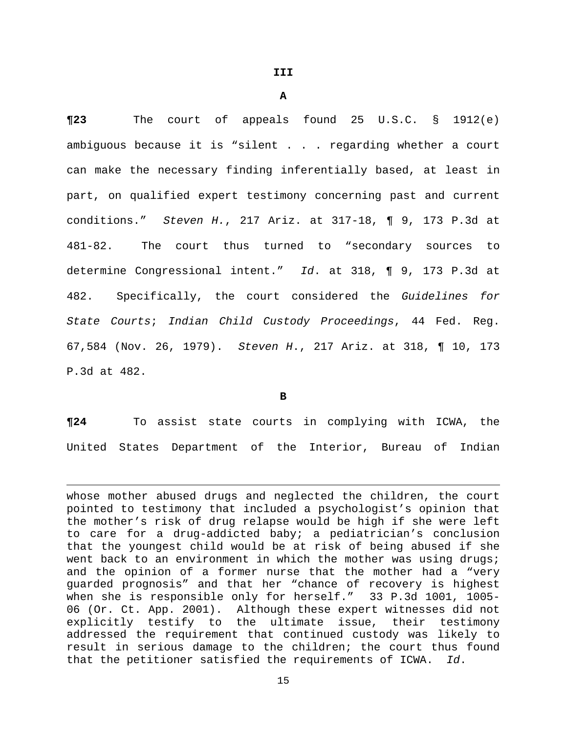**A** 

**¶23** The court of appeals found 25 U.S.C. § 1912(e) ambiguous because it is "silent . . . regarding whether a court can make the necessary finding inferentially based, at least in part, on qualified expert testimony concerning past and current conditions." *Steven H.*, 217 Ariz. at 317-18, ¶ 9, 173 P.3d at 481-82. The court thus turned to "secondary sources to determine Congressional intent." *Id*. at 318, ¶ 9, 173 P.3d at 482. Specifically, the court considered the *Guidelines for State Courts*; *Indian Child Custody Proceedings*, 44 Fed. Reg. 67,584 (Nov. 26, 1979). *Steven H*., 217 Ariz. at 318, ¶ 10, 173 P.3d at 482.

**B** 

**¶24** To assist state courts in complying with ICWA, the United States Department of the Interior, Bureau of Indian

i<br>L

whose mother abused drugs and neglected the children, the court pointed to testimony that included a psychologist's opinion that the mother's risk of drug relapse would be high if she were left to care for a drug-addicted baby; a pediatrician's conclusion that the youngest child would be at risk of being abused if she went back to an environment in which the mother was using drugs; and the opinion of a former nurse that the mother had a "very guarded prognosis" and that her "chance of recovery is highest when she is responsible only for herself." 33 P.3d 1001, 1005- 06 (Or. Ct. App. 2001). Although these expert witnesses did not explicitly testify to the ultimate issue, their testimony addressed the requirement that continued custody was likely to result in serious damage to the children; the court thus found that the petitioner satisfied the requirements of ICWA. *Id*.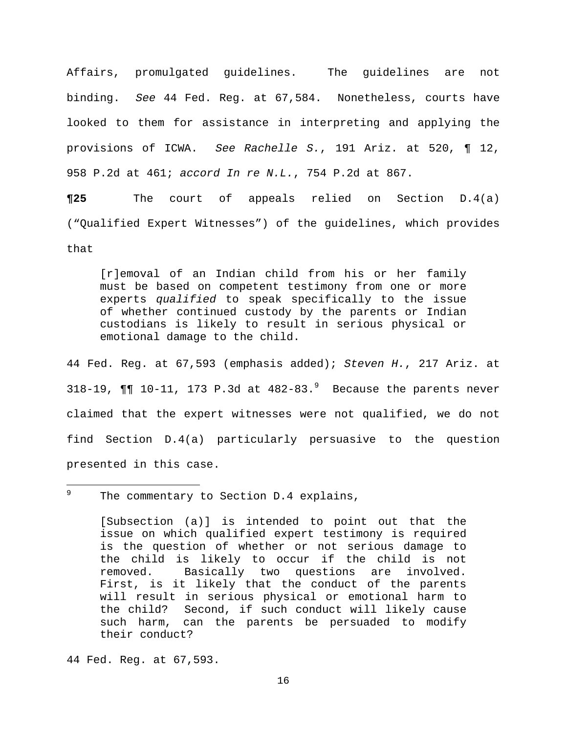Affairs, promulgated guidelines. The guidelines are not binding. *See* 44 Fed. Reg. at 67,584. Nonetheless, courts have looked to them for assistance in interpreting and applying the provisions of ICWA. *See Rachelle S.*, 191 Ariz. at 520, ¶ 12, 958 P.2d at 461; *accord In re N.L.*, 754 P.2d at 867.

**¶25** The court of appeals relied on Section D.4(a) ("Qualified Expert Witnesses") of the guidelines, which provides that

[r]emoval of an Indian child from his or her family must be based on competent testimony from one or more experts *qualified* to speak specifically to the issue of whether continued custody by the parents or Indian custodians is likely to result in serious physical or emotional damage to the child.

44 Fed. Reg. at 67,593 (emphasis added); *Steven H.*, 217 Ariz. at 318-19,  $\P\P$  10-11, 173 P.3d at  $482-83.^9$  Because the parents never claimed that the expert witnesses were not qualified, we do not find Section D.4(a) particularly persuasive to the question presented in this case.

–<br>9 The commentary to Section D.4 explains,

> [Subsection (a)] is intended to point out that the issue on which qualified expert testimony is required is the question of whether or not serious damage to the child is likely to occur if the child is not removed. Basically two questions are involved. First, is it likely that the conduct of the parents will result in serious physical or emotional harm to the child? Second, if such conduct will likely cause such harm, can the parents be persuaded to modify their conduct?

44 Fed. Reg. at 67,593.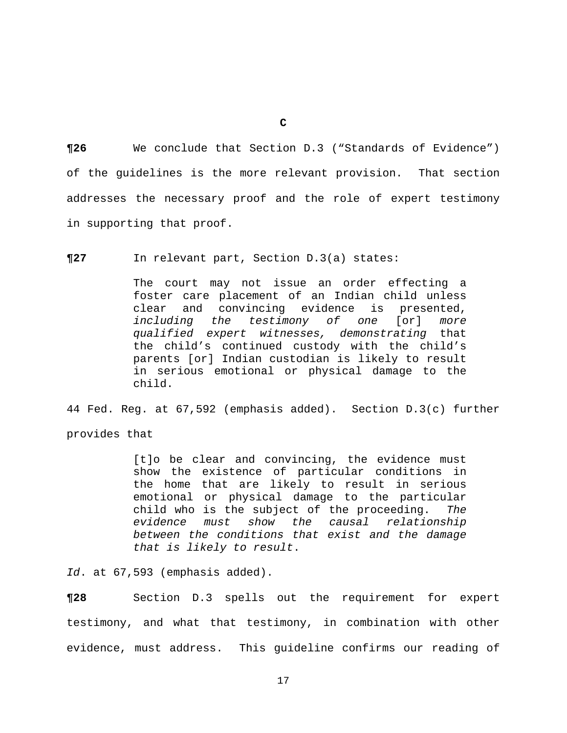**¶26** We conclude that Section D.3 ("Standards of Evidence") of the guidelines is the more relevant provision. That section addresses the necessary proof and the role of expert testimony in supporting that proof.

**¶27** In relevant part, Section D.3(a) states:

The court may not issue an order effecting a foster care placement of an Indian child unless clear and convincing evidence is presented, *including the testimony of one* [or] *more qualified expert witnesses, demonstrating* that the child's continued custody with the child's parents [or] Indian custodian is likely to result in serious emotional or physical damage to the child.

44 Fed. Reg. at 67,592 (emphasis added). Section D.3(c) further provides that

> [t]o be clear and convincing, the evidence must show the existence of particular conditions in the home that are likely to result in serious emotional or physical damage to the particular child who is the subject of the proceeding. *The evidence must show the causal relationship between the conditions that exist and the damage that is likely to result*.

*Id*. at 67,593 (emphasis added).

**¶28** Section D.3 spells out the requirement for expert testimony, and what that testimony, in combination with other evidence, must address. This guideline confirms our reading of

**C**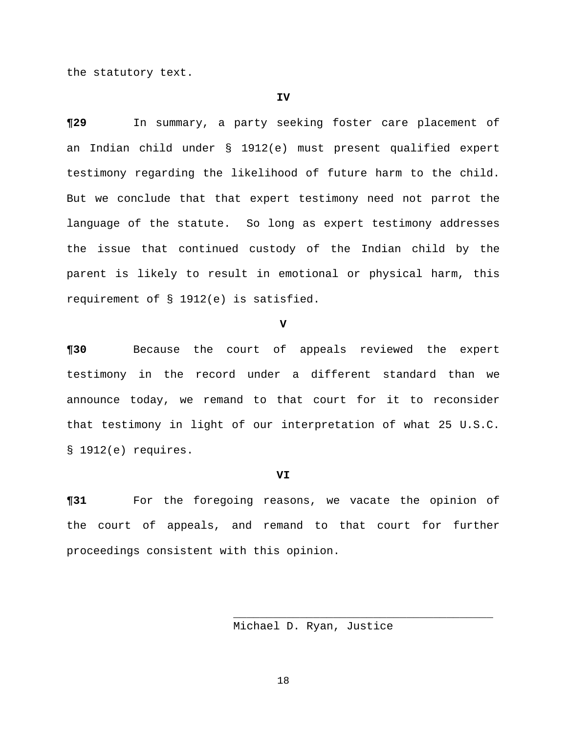the statutory text.

#### **IV**

**¶29** In summary, a party seeking foster care placement of an Indian child under § 1912(e) must present qualified expert testimony regarding the likelihood of future harm to the child. But we conclude that that expert testimony need not parrot the language of the statute. So long as expert testimony addresses the issue that continued custody of the Indian child by the parent is likely to result in emotional or physical harm, this requirement of § 1912(e) is satisfied.

**V** 

**¶30** Because the court of appeals reviewed the expert testimony in the record under a different standard than we announce today, we remand to that court for it to reconsider that testimony in light of our interpretation of what 25 U.S.C. § 1912(e) requires.

## **VI**

**¶31** For the foregoing reasons, we vacate the opinion of the court of appeals, and remand to that court for further proceedings consistent with this opinion.

Michael D. Ryan, Justice

18

 $\overline{\phantom{a}}$  ,  $\overline{\phantom{a}}$  ,  $\overline{\phantom{a}}$  ,  $\overline{\phantom{a}}$  ,  $\overline{\phantom{a}}$  ,  $\overline{\phantom{a}}$  ,  $\overline{\phantom{a}}$  ,  $\overline{\phantom{a}}$  ,  $\overline{\phantom{a}}$  ,  $\overline{\phantom{a}}$  ,  $\overline{\phantom{a}}$  ,  $\overline{\phantom{a}}$  ,  $\overline{\phantom{a}}$  ,  $\overline{\phantom{a}}$  ,  $\overline{\phantom{a}}$  ,  $\overline{\phantom{a}}$